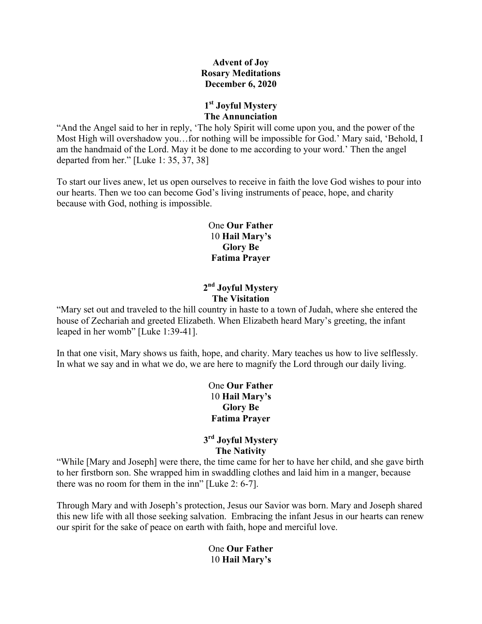#### **Advent of Joy Rosary Meditations December 6, 2020**

# **1st Joyful Mystery The Annunciation**

"And the Angel said to her in reply, 'The holy Spirit will come upon you, and the power of the Most High will overshadow you…for nothing will be impossible for God.' Mary said, 'Behold, I am the handmaid of the Lord. May it be done to me according to your word.' Then the angel departed from her." [Luke 1: 35, 37, 38]

To start our lives anew, let us open ourselves to receive in faith the love God wishes to pour into our hearts. Then we too can become God's living instruments of peace, hope, and charity because with God, nothing is impossible.

> One **Our Father** 10 **Hail Mary's Glory Be Fatima Prayer**

### **2nd Joyful Mystery The Visitation**

"Mary set out and traveled to the hill country in haste to a town of Judah, where she entered the house of Zechariah and greeted Elizabeth. When Elizabeth heard Mary's greeting, the infant leaped in her womb" [Luke 1:39-41].

In that one visit, Mary shows us faith, hope, and charity. Mary teaches us how to live selflessly. In what we say and in what we do, we are here to magnify the Lord through our daily living.

> One **Our Father** 10 **Hail Mary's Glory Be Fatima Prayer**

# **3rd Joyful Mystery The Nativity**

"While [Mary and Joseph] were there, the time came for her to have her child, and she gave birth to her firstborn son. She wrapped him in swaddling clothes and laid him in a manger, because there was no room for them in the inn" [Luke 2: 6-7].

Through Mary and with Joseph's protection, Jesus our Savior was born. Mary and Joseph shared this new life with all those seeking salvation. Embracing the infant Jesus in our hearts can renew our spirit for the sake of peace on earth with faith, hope and merciful love.

> One **Our Father** 10 **Hail Mary's**